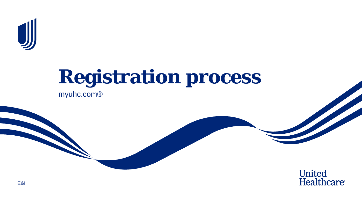

## **Registration process** myuhc.com®

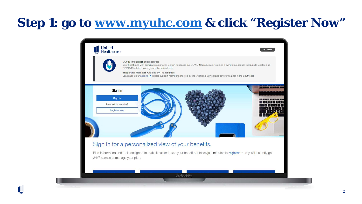#### **Step 1: go to [www.myuhc.com](http://www.myuhc.com/) & click "Register Now"**



UJ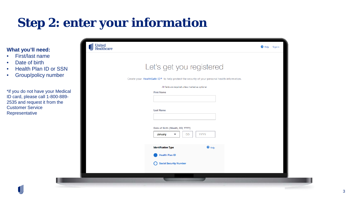#### **Step 2: enter your information**

#### **What you'll need:**

- First/last name
- Date of birth

U

- Health Plan ID or SSN
- Group/policy number

\*if you do not have your Medical ID card, please call 1-800-889- 2535 and request it from the Customer Service Representative

| United<br>Healthcare |                                                                                              | <sup>2</sup> Help<br>Sign in |
|----------------------|----------------------------------------------------------------------------------------------|------------------------------|
|                      | Let's get you registered                                                                     |                              |
|                      | Create your HealthSafe ID® to help protect the security of your personal health information. |                              |
|                      |                                                                                              |                              |
|                      | All fields are required unless marked as optional.                                           |                              |
|                      | <b>First Name</b>                                                                            |                              |
|                      |                                                                                              |                              |
|                      | <b>Last Name</b>                                                                             |                              |
|                      |                                                                                              |                              |
|                      |                                                                                              |                              |
|                      | Date of Birth (Month, DD, YYYY)                                                              |                              |
|                      | <b>YYYY</b><br><b>DD</b><br>January<br>▼                                                     |                              |
|                      |                                                                                              |                              |
|                      | $\bullet$ Help<br><b>Identification Type</b>                                                 |                              |
|                      | <b>Health Plan ID</b>                                                                        |                              |
|                      | <b>Social Security Number</b>                                                                |                              |
|                      |                                                                                              |                              |
|                      |                                                                                              |                              |
|                      |                                                                                              |                              |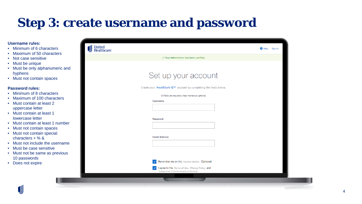### **Step 3: create username and password**

#### **Username rules:**

- Minimum of 6 characters
- Maximum of 50 characters
- Not case sensitive
- Must be unique
- Must be only alphanumeric and hyphens
- Must not contain spaces

#### **Password rules:**

- Minimum of 8 characters
- Maximum of 100 characters
- Must contain at least 2 uppercase letter
- Must contain at least 1 lowercase letter
- Must contain at least 1 number
- Must not contain spaces
- Must not contain special characters + % &
- Must not include the username
- Must be case sensitive
- Must not be same as previous 10 passwords
- Does not expire

| <b>United<br/>Healthcare</b> |                                                                                           | Help Sign in |
|------------------------------|-------------------------------------------------------------------------------------------|--------------|
|                              | √ Your information has been verified.                                                     |              |
|                              |                                                                                           |              |
|                              | Set up your account                                                                       |              |
|                              | Create your HealthSafe ID® account by completing the fields below.                        |              |
|                              | All fields are required unless marked as optional.                                        |              |
|                              | <b>Username</b><br>Password                                                               |              |
|                              | <b>Email Address</b>                                                                      |              |
|                              | Remember me on this trusted device. (Optional)                                            |              |
|                              | I agree to the Terms of Use. Privacy Policy and<br><b>Consumer Communications Notice.</b> |              |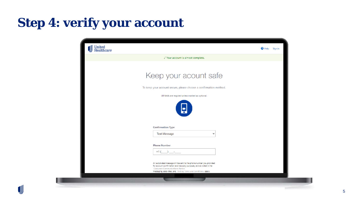### **Step 4: verify your account**

| <b>United<br/>Healthcare</b> |                                                                                                                                                                                                                                                        | Sign in<br>$\bullet$ Help |
|------------------------------|--------------------------------------------------------------------------------------------------------------------------------------------------------------------------------------------------------------------------------------------------------|---------------------------|
|                              |                                                                                                                                                                                                                                                        |                           |
|                              |                                                                                                                                                                                                                                                        |                           |
|                              | Keep your acount safe                                                                                                                                                                                                                                  |                           |
|                              | To keep your account secure, please choose a confirmation method.                                                                                                                                                                                      |                           |
|                              | All fields are required unless marked as optional.                                                                                                                                                                                                     |                           |
|                              |                                                                                                                                                                                                                                                        |                           |
|                              |                                                                                                                                                                                                                                                        |                           |
|                              | <b>Confirmation Type</b><br><b>Text Message</b><br>$\checkmark$                                                                                                                                                                                        |                           |
|                              |                                                                                                                                                                                                                                                        |                           |
|                              | <b>Phone Number</b>                                                                                                                                                                                                                                    |                           |
|                              | $+1()$ -                                                                                                                                                                                                                                               |                           |
|                              | An automated message will be sent to the phone number you provided<br>for account confirmation and recovery purposes, and as noted in the<br><b>Consumer Communications Notice.</b><br>Messaging, data rates, and Texting Terms and Conditions. apply. |                           |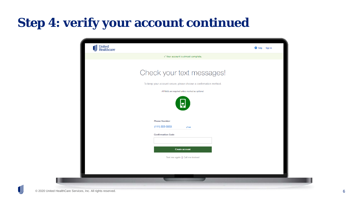### **Step 4: verify your account continued**

| United<br>Healthcare<br>JJJ |                                                                   | Sign in<br><b>O</b> Help |
|-----------------------------|-------------------------------------------------------------------|--------------------------|
|                             | √ Your account is almost complete.                                |                          |
|                             |                                                                   |                          |
|                             | Check your text messages!                                         |                          |
|                             | To keep your account secure, please choose a confirmation method. |                          |
|                             | All fields are required unless marked as optional.                |                          |
|                             | ç<br><b>Phone Number</b>                                          |                          |
|                             | $(111)$ 222-3333<br>$\blacktriangleright$ Edit                    |                          |
|                             | <b>Confirmation Code</b>                                          |                          |
|                             |                                                                   |                          |
|                             | <b>Create account</b>                                             |                          |
|                             | Text me again   Call me instead                                   |                          |
|                             |                                                                   |                          |
|                             |                                                                   |                          |
|                             |                                                                   |                          |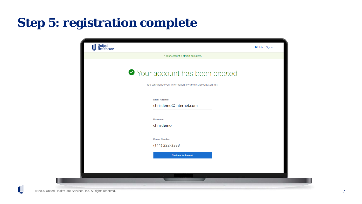### **Step 5: registration complete**

| United<br>Healthcare |                                                              | <b>Q</b> Help<br>Sign in |
|----------------------|--------------------------------------------------------------|--------------------------|
|                      | √ Your account is almost complete.                           |                          |
|                      |                                                              |                          |
|                      | ◆ Your account has been created                              |                          |
|                      |                                                              |                          |
|                      | You can change your information anytime in Account Settings. |                          |
|                      |                                                              |                          |
|                      | <b>Email Address</b>                                         |                          |
|                      | chrisdemo@internet.com                                       |                          |
|                      |                                                              |                          |
|                      | <b>Username</b>                                              |                          |
|                      | chrisdemo                                                    |                          |
|                      |                                                              |                          |
|                      | <b>Phone Number</b>                                          |                          |
|                      | $(111)$ 222-3333                                             |                          |
|                      | <b>Continue to Account</b>                                   |                          |
|                      |                                                              |                          |
|                      |                                                              |                          |
|                      |                                                              |                          |
|                      |                                                              |                          |

п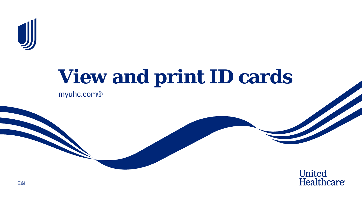

# **View and print ID cards** myuhc.com®

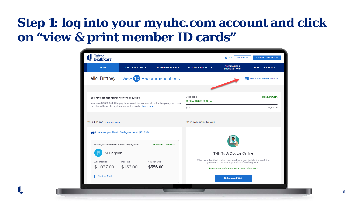#### **Step 1: log into your myuhc.com account and click on "view & print member ID cards"**



 $\textcolor{red}{\textbf{0}}$